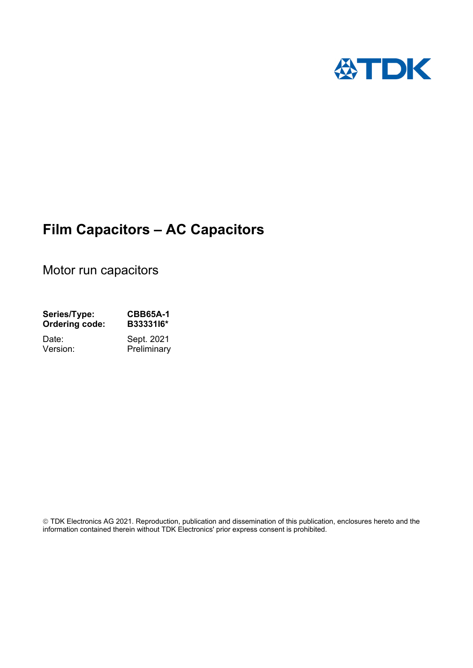

# **Film Capacitors – AC Capacitors**

Motor run capacitors

| Series/Type:          | <b>CBB65A-1</b> |  |  |
|-----------------------|-----------------|--|--|
| <b>Ordering code:</b> | B3333116*       |  |  |
| Date:                 | Sept. 2021      |  |  |
| Version:              | Preliminary     |  |  |

 TDK Electronics AG 2021. Reproduction, publication and dissemination of this publication, enclosures hereto and the information contained therein without TDK Electronics' prior express consent is prohibited.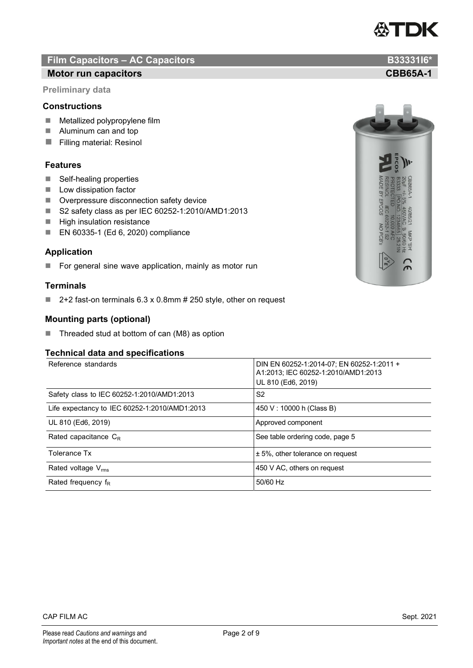## **Film Capacitors – AC Capacitors B33331I6\* B33331I6\***

### **Motor run capacitors CBB65A-1 CBB65A-1**

**Preliminary data** 

### **Constructions**

- $\blacksquare$  Metallized polypropylene film
- **Aluminum can and top**
- **Filling material: Resinol**

### **Features**

- Self-healing properties
- **Low dissipation factor**
- **Deverpressure disconnection safety device**
- S2 safety class as per IEC 60252-1:2010/AMD1:2013
- $\blacksquare$  High insulation resistance
- EN 60335-1 (Ed 6, 2020) compliance

### **Application**

For general sine wave application, mainly as motor run

### **Terminals**

■ 2+2 fast-on terminals 6.3 x 0.8mm # 250 style, other on request

### **Mounting parts (optional)**

■ Threaded stud at bottom of can (M8) as option

### **Technical data and specifications**

| Reference standards                           | DIN EN 60252-1:2014-07; EN 60252-1:2011 +<br>A1:2013; IEC 60252-1:2010/AMD1:2013<br>UL 810 (Ed6, 2019) |
|-----------------------------------------------|--------------------------------------------------------------------------------------------------------|
| Safety class to IEC 60252-1:2010/AMD1:2013    | S2                                                                                                     |
| Life expectancy to IEC 60252-1:2010/AMD1:2013 | 450 V: 10000 h (Class B)                                                                               |
| UL 810 (Ed6, 2019)                            | Approved component                                                                                     |
| Rated capacitance $C_R$                       | See table ordering code, page 5                                                                        |
| Tolerance Tx                                  | $± 5%$ , other tolerance on request                                                                    |
| Rated voltage $V_{\rm rms}$                   | 450 V AC, others on request                                                                            |
| Rated frequency $f_R$                         | 50/60 Hz                                                                                               |





# **ATDK**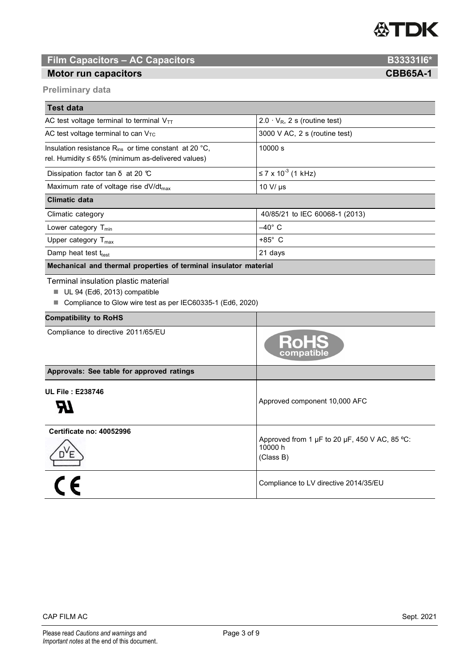

### **Film Capacitors – AC Capacitors B33331I6\***

#### **Motor run capacitors CBB65A-1 CBB65A-1**

**Preliminary data** 

| <b>Test data</b>                                                                                                      |                                      |  |  |  |  |  |
|-----------------------------------------------------------------------------------------------------------------------|--------------------------------------|--|--|--|--|--|
| AC test voltage terminal to terminal $V_{TT}$                                                                         | $2.0 \cdot V_R$ , 2 s (routine test) |  |  |  |  |  |
| AC test voltage terminal to can $V_{TC}$                                                                              | $3000$ V AC, 2 s (routine test)      |  |  |  |  |  |
| Insulation resistance $R_{ins}$ or time constant at 20 °C.<br>rel. Humidity $\leq 65\%$ (minimum as-delivered values) | 10000 s                              |  |  |  |  |  |
| Dissipation factor tan $\delta$ at 20 °C                                                                              | ≤ 7 x 10 <sup>-3</sup> (1 kHz)       |  |  |  |  |  |
| Maximum rate of voltage rise $dV/dt_{max}$                                                                            | 10 V/ $\mu$ s                        |  |  |  |  |  |
| Climatic data                                                                                                         |                                      |  |  |  |  |  |
| Climatic category                                                                                                     | 40/85/21 to IEC 60068-1 (2013)       |  |  |  |  |  |
| Lower category $T_{min}$                                                                                              | $-40^\circ$ C                        |  |  |  |  |  |
| Upper category T <sub>max</sub>                                                                                       | $+85^\circ$ C                        |  |  |  |  |  |
| Damp heat test $t_{test}$                                                                                             | 21 days                              |  |  |  |  |  |
| Mechanical and thermal properties of terminal insulator material                                                      |                                      |  |  |  |  |  |

Terminal insulation plastic material

- UL 94 (Ed6, 2013) compatible
- Compliance to Glow wire test as per IEC60335-1 (Ed6, 2020)

| <b>Compatibility to RoHS</b>              |                                                                       |  |  |
|-------------------------------------------|-----------------------------------------------------------------------|--|--|
| Compliance to directive 2011/65/EU        | <b>RoHS</b>                                                           |  |  |
| Approvals: See table for approved ratings |                                                                       |  |  |
| <b>UL File: E238746</b>                   | Approved component 10,000 AFC                                         |  |  |
| <b>Certificate no: 40052996</b>           | Approved from 1 µF to 20 µF, 450 V AC, 85 °C:<br>10000 h<br>(Class B) |  |  |
|                                           | Compliance to LV directive 2014/35/EU                                 |  |  |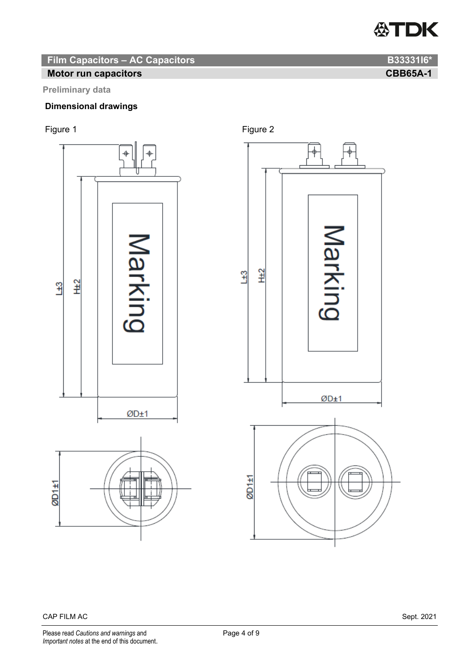

**Film Capacitors – AC Capacitors B33331I6\* B33331I6\*** 

### **Motor run capacitors CBB65A-1 CBB65A-1**

#### **Preliminary data**

#### **Dimensional drawings**







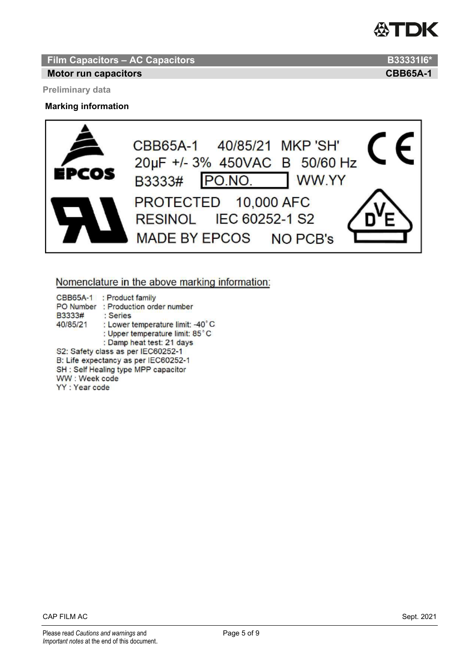

**Film Capacitors – AC Capacitors B33331I6\* B33331I6\*** 

#### **Motor run capacitors CBB65A-1 CBB65A-1**

**Preliminary data** 

#### **Marking information**



#### Nomenclature in the above marking information:

CBB65A-1 : Product family PO Number : Production order number B3333# : Series 40/85/21 : Lower temperature limit: -40°C : Upper temperature limit: 85°C : Damp heat test: 21 days S2: Safety class as per IEC60252-1 B: Life expectancy as per IEC60252-1 SH : Self Healing type MPP capacitor WW: Week code YY: Year code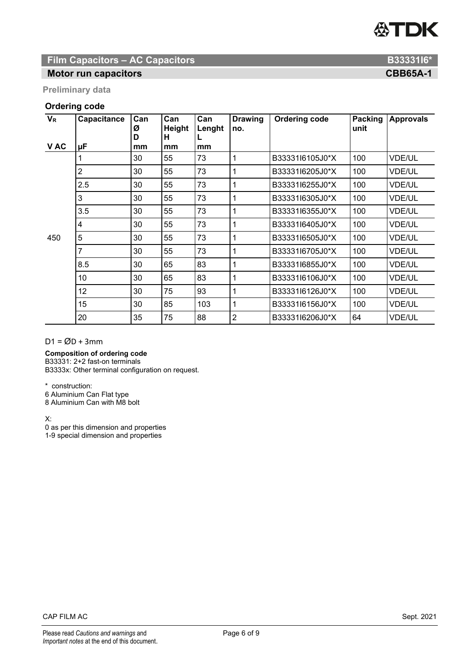# **公TDK**

### **Film Capacitors – AC Capacitors B33331I6\* B33331I6\***

### **Motor run capacitors CBB65A-1**

**Preliminary data** 

#### **Ordering code**

| $V_R$ | Capacitance    | Can<br>Ø<br>D | Can<br>Height<br>н | Can<br>Lenght | <b>Drawing</b><br>no. | <b>Ordering code</b> | Packing<br>unit | <b>Approvals</b> |
|-------|----------------|---------------|--------------------|---------------|-----------------------|----------------------|-----------------|------------------|
| V AC  | μF             | mm            | mm                 | mm            |                       |                      |                 |                  |
| 450   |                | 30            | 55                 | 73            | 1                     | B3333116105J0*X      | 100             | <b>VDE/UL</b>    |
|       | $\overline{2}$ | 30            | 55                 | 73            | 1                     | B3333116205J0*X      | 100             | <b>VDE/UL</b>    |
|       | 2.5            | 30            | 55                 | 73            | 1                     | B3333116255J0*X      | 100             | <b>VDE/UL</b>    |
|       | 3              | 30            | 55                 | 73            | 1                     | B3333116305J0*X      | 100             | <b>VDE/UL</b>    |
|       | 3.5            | 30            | 55                 | 73            | 1                     | B3333116355J0*X      | 100             | <b>VDE/UL</b>    |
|       | 4              | 30            | 55                 | 73            | 1                     | B3333116405J0*X      | 100             | <b>VDE/UL</b>    |
|       | 5              | 30            | 55                 | 73            | 1                     | B3333116505J0*X      | 100             | <b>VDE/UL</b>    |
|       | 7              | 30            | 55                 | 73            | 1                     | B3333116705J0*X      | 100             | <b>VDE/UL</b>    |
|       | 8.5            | 30            | 65                 | 83            | 1                     | B3333116855J0*X      | 100             | <b>VDE/UL</b>    |
|       | 10             | 30            | 65                 | 83            | 1                     | B3333116106J0*X      | 100             | <b>VDE/UL</b>    |
|       | 12             | 30            | 75                 | 93            | 1                     | B3333116126J0*X      | 100             | <b>VDE/UL</b>    |
|       | 15             | 30            | 85                 | 103           | 1                     | B3333116156J0*X      | 100             | <b>VDE/UL</b>    |
|       | 20             | 35            | 75                 | 88            | $\overline{2}$        | B3333116206J0*X      | 64              | <b>VDE/UL</b>    |

 $D1 = \emptyset D + 3mm$ 

**Composition of ordering code** 

B33331: 2+2 fast-on terminals B3333x: Other terminal configuration on request.

\* construction:

6 Aluminium Can Flat type

8 Aluminium Can with M8 bolt

X:

0 as per this dimension and properties 1-9 special dimension and properties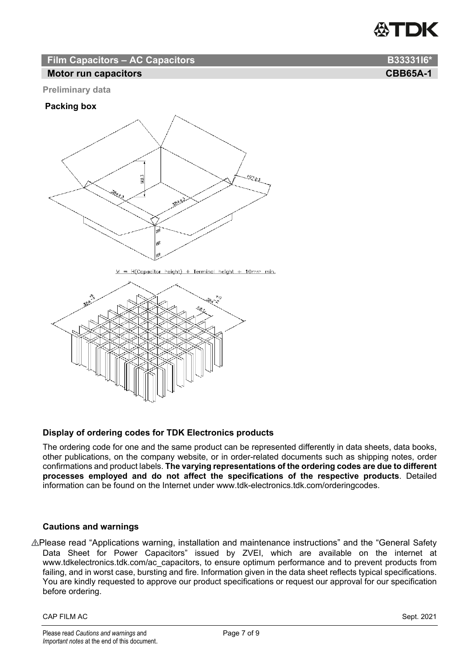

### **Film Capacitors – AC Capacitors B33331I6 B33331I6**

#### **Motor run capacitors CBB65A-1 CBB65A-1**

#### **Preliminary data**

#### **Packing box**



 $M = H(Copacitor height) + Terminal height + 10mm min.$ 



#### **Display of ordering codes for TDK Electronics products**

The ordering code for one and the same product can be represented differently in data sheets, data books, other publications, on the company website, or in order-related documents such as shipping notes, order confirmations and product labels. **The varying representations of the ordering codes are due to different processes employed and do not affect the specifications of the respective products**. Detailed information can be found on the Internet under www.tdk-electronics.tdk.com/orderingcodes.

#### **Cautions and warnings**

⚠Please read "Applications warning, installation and maintenance instructions" and the "General Safety Data Sheet for Power Capacitors" issued by ZVEI, which are available on the internet at www.tdkelectronics.tdk.com/ac\_capacitors, to ensure optimum performance and to prevent products from failing, and in worst case, bursting and fire. Information given in the data sheet reflects typical specifications. You are kindly requested to approve our product specifications or request our approval for our specification before ordering.

#### CAP FILM AC Sept. 2021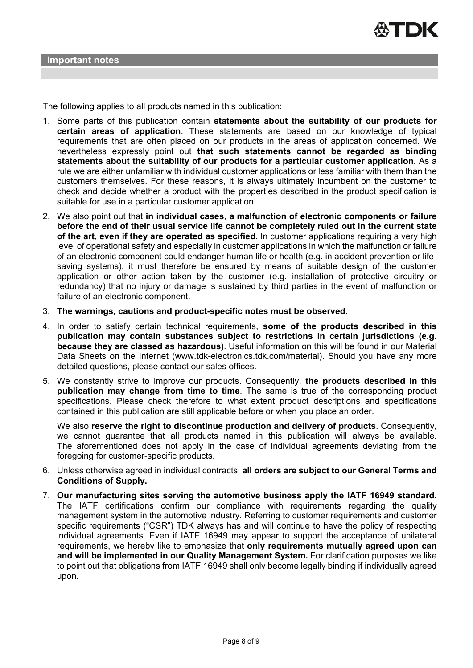The following applies to all products named in this publication:

- 1. Some parts of this publication contain **statements about the suitability of our products for certain areas of application**. These statements are based on our knowledge of typical requirements that are often placed on our products in the areas of application concerned. We nevertheless expressly point out **that such statements cannot be regarded as binding statements about the suitability of our products for a particular customer application.** As a rule we are either unfamiliar with individual customer applications or less familiar with them than the customers themselves. For these reasons, it is always ultimately incumbent on the customer to check and decide whether a product with the properties described in the product specification is suitable for use in a particular customer application.
- 2. We also point out that **in individual cases, a malfunction of electronic components or failure before the end of their usual service life cannot be completely ruled out in the current state of the art, even if they are operated as specified.** In customer applications requiring a very high level of operational safety and especially in customer applications in which the malfunction or failure of an electronic component could endanger human life or health (e.g. in accident prevention or lifesaving systems), it must therefore be ensured by means of suitable design of the customer application or other action taken by the customer (e.g. installation of protective circuitry or redundancy) that no injury or damage is sustained by third parties in the event of malfunction or failure of an electronic component.
- 3. **The warnings, cautions and product-specific notes must be observed.**
- 4. In order to satisfy certain technical requirements, **some of the products described in this publication may contain substances subject to restrictions in certain jurisdictions (e.g. because they are classed as hazardous)**. Useful information on this will be found in our Material Data Sheets on the Internet (www.tdk-electronics.tdk.com/material). Should you have any more detailed questions, please contact our sales offices.
- 5. We constantly strive to improve our products. Consequently, **the products described in this publication may change from time to time**. The same is true of the corresponding product specifications. Please check therefore to what extent product descriptions and specifications contained in this publication are still applicable before or when you place an order.

We also **reserve the right to discontinue production and delivery of products**. Consequently, we cannot guarantee that all products named in this publication will always be available. The aforementioned does not apply in the case of individual agreements deviating from the foregoing for customer-specific products.

- 6. Unless otherwise agreed in individual contracts, **all orders are subject to our General Terms and Conditions of Supply.**
- 7. **Our manufacturing sites serving the automotive business apply the IATF 16949 standard.** The IATF certifications confirm our compliance with requirements regarding the quality management system in the automotive industry. Referring to customer requirements and customer specific requirements ("CSR") TDK always has and will continue to have the policy of respecting individual agreements. Even if IATF 16949 may appear to support the acceptance of unilateral requirements, we hereby like to emphasize that **only requirements mutually agreed upon can and will be implemented in our Quality Management System.** For clarification purposes we like to point out that obligations from IATF 16949 shall only become legally binding if individually agreed upon.